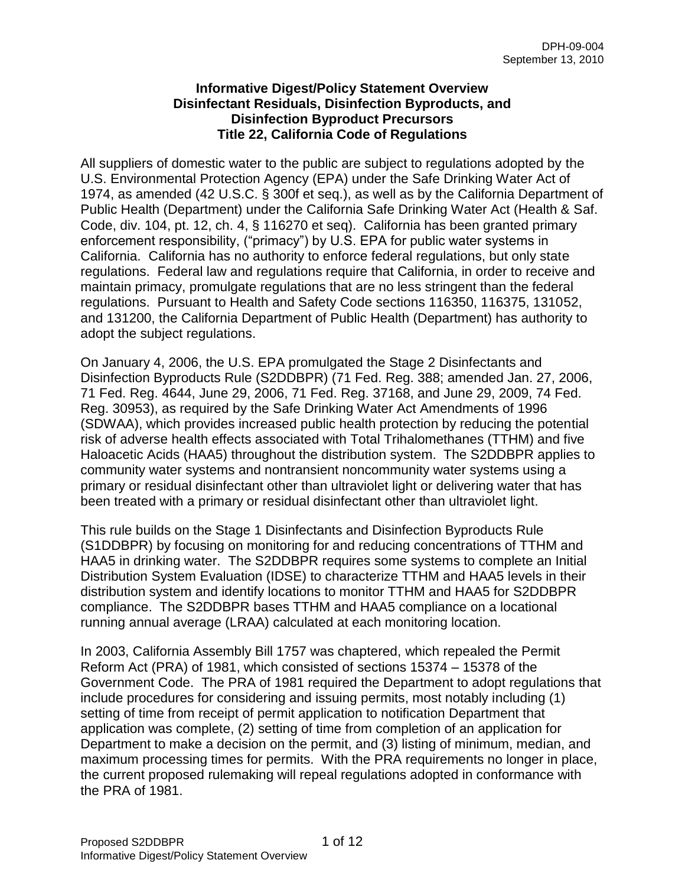#### **Informative Digest/Policy Statement Overview Disinfectant Residuals, Disinfection Byproducts, and Disinfection Byproduct Precursors Title 22, California Code of Regulations**

All suppliers of domestic water to the public are subject to regulations adopted by the U.S. Environmental Protection Agency (EPA) under the Safe Drinking Water Act of 1974, as amended (42 U.S.C. § 300f et seq.), as well as by the California Department of Public Health (Department) under the California Safe Drinking Water Act (Health & Saf. Code, div. 104, pt. 12, ch. 4, § 116270 et seq). California has been granted primary enforcement responsibility, ("primacy") by U.S. EPA for public water systems in California. California has no authority to enforce federal regulations, but only state regulations. Federal law and regulations require that California, in order to receive and maintain primacy, promulgate regulations that are no less stringent than the federal regulations. Pursuant to Health and Safety Code sections 116350, 116375, 131052, and 131200, the California Department of Public Health (Department) has authority to adopt the subject regulations.

On January 4, 2006, the U.S. EPA promulgated the Stage 2 Disinfectants and Disinfection Byproducts Rule (S2DDBPR) (71 Fed. Reg. 388; amended Jan. 27, 2006, 71 Fed. Reg. 4644, June 29, 2006, 71 Fed. Reg. 37168, and June 29, 2009, 74 Fed. Reg. 30953), as required by the Safe Drinking Water Act Amendments of 1996 (SDWAA), which provides increased public health protection by reducing the potential risk of adverse health effects associated with Total Trihalomethanes (TTHM) and five Haloacetic Acids (HAA5) throughout the distribution system. The S2DDBPR applies to community water systems and nontransient noncommunity water systems using a primary or residual disinfectant other than ultraviolet light or delivering water that has been treated with a primary or residual disinfectant other than ultraviolet light.

This rule builds on the Stage 1 Disinfectants and Disinfection Byproducts Rule (S1DDBPR) by focusing on monitoring for and reducing concentrations of TTHM and HAA5 in drinking water. The S2DDBPR requires some systems to complete an Initial Distribution System Evaluation (IDSE) to characterize TTHM and HAA5 levels in their distribution system and identify locations to monitor TTHM and HAA5 for S2DDBPR compliance. The S2DDBPR bases TTHM and HAA5 compliance on a locational running annual average (LRAA) calculated at each monitoring location.

In 2003, California Assembly Bill 1757 was chaptered, which repealed the Permit Reform Act (PRA) of 1981, which consisted of sections 15374 – 15378 of the Government Code. The PRA of 1981 required the Department to adopt regulations that include procedures for considering and issuing permits, most notably including (1) setting of time from receipt of permit application to notification Department that application was complete, (2) setting of time from completion of an application for Department to make a decision on the permit, and (3) listing of minimum, median, and maximum processing times for permits. With the PRA requirements no longer in place, the current proposed rulemaking will repeal regulations adopted in conformance with the PRA of 1981.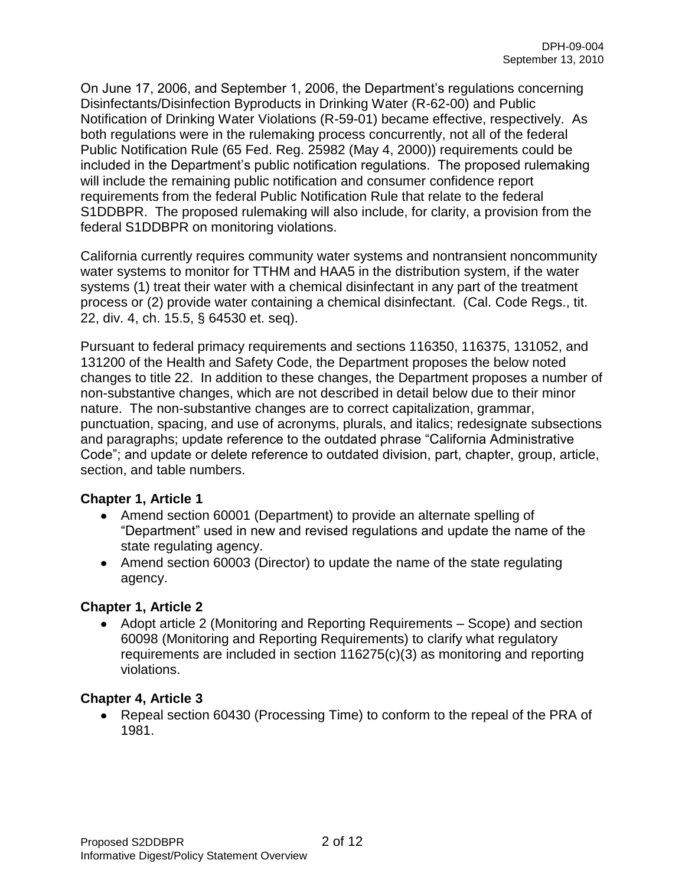On June 17, 2006, and September 1, 2006, the Department's regulations concerning Disinfectants/Disinfection Byproducts in Drinking Water (R-62-00) and Public Notification of Drinking Water Violations (R-59-01) became effective, respectively. As both regulations were in the rulemaking process concurrently, not all of the federal Public Notification Rule (65 Fed. Reg. 25982 (May 4, 2000)) requirements could be included in the Department's public notification regulations. The proposed rulemaking will include the remaining public notification and consumer confidence report requirements from the federal Public Notification Rule that relate to the federal S1DDBPR. The proposed rulemaking will also include, for clarity, a provision from the federal S1DDBPR on monitoring violations.

California currently requires community water systems and nontransient noncommunity water systems to monitor for TTHM and HAA5 in the distribution system, if the water systems (1) treat their water with a chemical disinfectant in any part of the treatment process or (2) provide water containing a chemical disinfectant. (Cal. Code Regs., tit. 22, div. 4, ch. 15.5, § 64530 et. seq).

Pursuant to federal primacy requirements and sections 116350, 116375, 131052, and 131200 of the Health and Safety Code, the Department proposes the below noted changes to title 22. In addition to these changes, the Department proposes a number of non-substantive changes, which are not described in detail below due to their minor nature. The non-substantive changes are to correct capitalization, grammar, punctuation, spacing, and use of acronyms, plurals, and italics; redesignate subsections and paragraphs; update reference to the outdated phrase "California Administrative Code"; and update or delete reference to outdated division, part, chapter, group, article, section, and table numbers.

## **Chapter 1, Article 1**

- Amend section 60001 (Department) to provide an alternate spelling of "Department" used in new and revised regulations and update the name of the state regulating agency.
- Amend section 60003 (Director) to update the name of the state regulating agency.

## **Chapter 1, Article 2**

Adopt article 2 (Monitoring and Reporting Requirements – Scope) and section 60098 (Monitoring and Reporting Requirements) to clarify what regulatory requirements are included in section 116275(c)(3) as monitoring and reporting violations.

#### **Chapter 4, Article 3**

• Repeal section 60430 (Processing Time) to conform to the repeal of the PRA of 1981.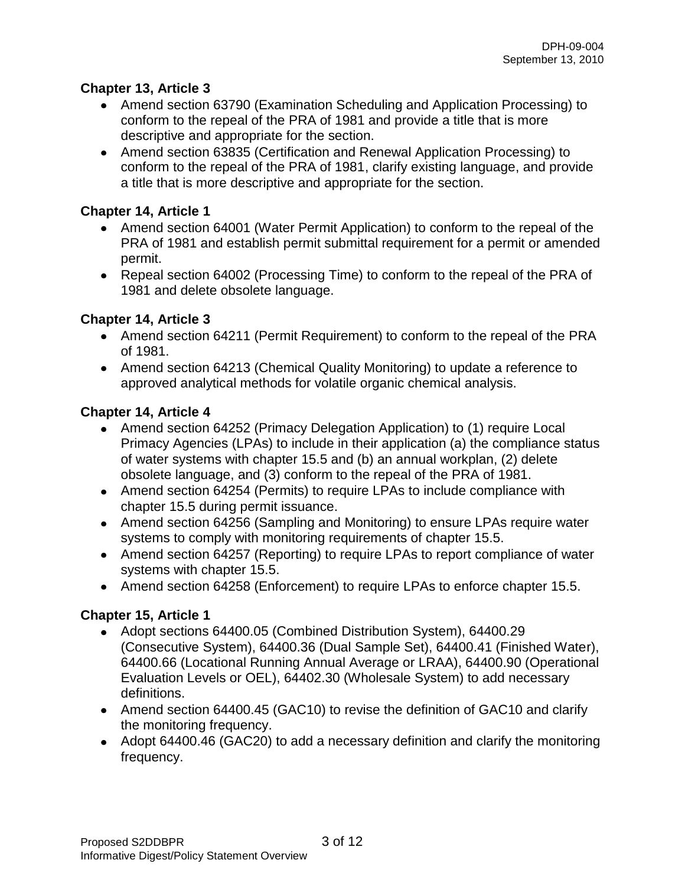## **Chapter 13, Article 3**

- Amend section 63790 (Examination Scheduling and Application Processing) to conform to the repeal of the PRA of 1981 and provide a title that is more descriptive and appropriate for the section.
- Amend section 63835 (Certification and Renewal Application Processing) to conform to the repeal of the PRA of 1981, clarify existing language, and provide a title that is more descriptive and appropriate for the section.

# **Chapter 14, Article 1**

- Amend section 64001 (Water Permit Application) to conform to the repeal of the PRA of 1981 and establish permit submittal requirement for a permit or amended permit.
- Repeal section 64002 (Processing Time) to conform to the repeal of the PRA of 1981 and delete obsolete language.

# **Chapter 14, Article 3**

- Amend section 64211 (Permit Requirement) to conform to the repeal of the PRA of 1981.
- Amend section 64213 (Chemical Quality Monitoring) to update a reference to approved analytical methods for volatile organic chemical analysis.

# **Chapter 14, Article 4**

- Amend section 64252 (Primacy Delegation Application) to (1) require Local Primacy Agencies (LPAs) to include in their application (a) the compliance status of water systems with chapter 15.5 and (b) an annual workplan, (2) delete obsolete language, and (3) conform to the repeal of the PRA of 1981.
- Amend section 64254 (Permits) to require LPAs to include compliance with chapter 15.5 during permit issuance.
- Amend section 64256 (Sampling and Monitoring) to ensure LPAs require water systems to comply with monitoring requirements of chapter 15.5.
- Amend section 64257 (Reporting) to require LPAs to report compliance of water systems with chapter 15.5.
- Amend section 64258 (Enforcement) to require LPAs to enforce chapter 15.5.

# **Chapter 15, Article 1**

- Adopt sections 64400.05 (Combined Distribution System), 64400.29 (Consecutive System), 64400.36 (Dual Sample Set), 64400.41 (Finished Water), 64400.66 (Locational Running Annual Average or LRAA), 64400.90 (Operational Evaluation Levels or OEL), 64402.30 (Wholesale System) to add necessary definitions.
- Amend section 64400.45 (GAC10) to revise the definition of GAC10 and clarify the monitoring frequency.
- Adopt 64400.46 (GAC20) to add a necessary definition and clarify the monitoring frequency.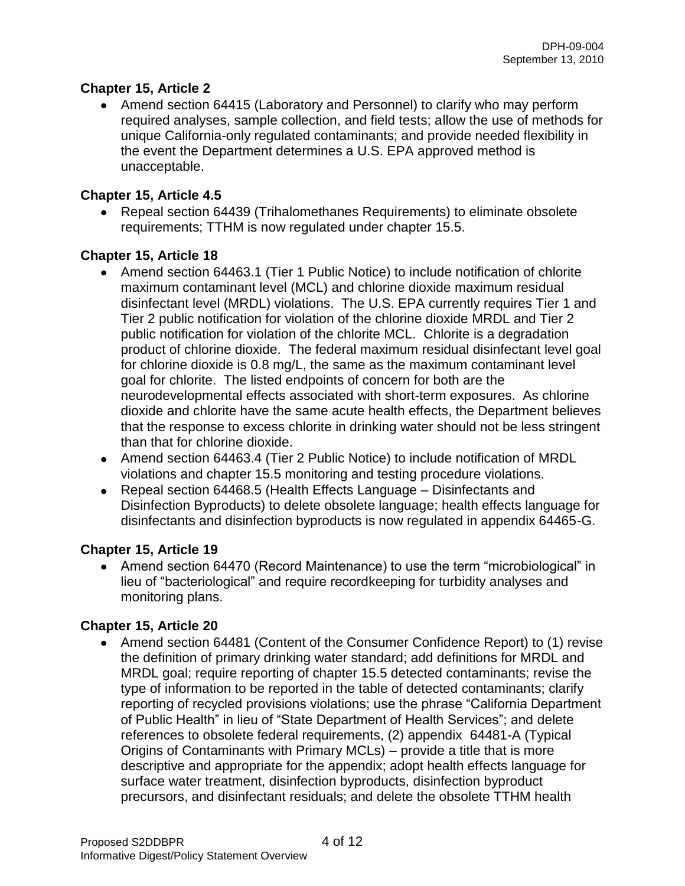## **Chapter 15, Article 2**

• Amend section 64415 (Laboratory and Personnel) to clarify who may perform required analyses, sample collection, and field tests; allow the use of methods for unique California-only regulated contaminants; and provide needed flexibility in the event the Department determines a U.S. EPA approved method is unacceptable.

#### **Chapter 15, Article 4.5**

Repeal section 64439 (Trihalomethanes Requirements) to eliminate obsolete requirements; TTHM is now regulated under chapter 15.5.

## **Chapter 15, Article 18**

- Amend section 64463.1 (Tier 1 Public Notice) to include notification of chlorite maximum contaminant level (MCL) and chlorine dioxide maximum residual disinfectant level (MRDL) violations. The U.S. EPA currently requires Tier 1 and Tier 2 public notification for violation of the chlorine dioxide MRDL and Tier 2 public notification for violation of the chlorite MCL. Chlorite is a degradation product of chlorine dioxide. The federal maximum residual disinfectant level goal for chlorine dioxide is 0.8 mg/L, the same as the maximum contaminant level goal for chlorite. The listed endpoints of concern for both are the neurodevelopmental effects associated with short-term exposures. As chlorine dioxide and chlorite have the same acute health effects, the Department believes that the response to excess chlorite in drinking water should not be less stringent than that for chlorine dioxide.
- Amend section 64463.4 (Tier 2 Public Notice) to include notification of MRDL violations and chapter 15.5 monitoring and testing procedure violations.
- Repeal section 64468.5 (Health Effects Language Disinfectants and Disinfection Byproducts) to delete obsolete language; health effects language for disinfectants and disinfection byproducts is now regulated in appendix 64465-G.

#### **Chapter 15, Article 19**

• Amend section 64470 (Record Maintenance) to use the term "microbiological" in lieu of "bacteriological" and require recordkeeping for turbidity analyses and monitoring plans.

## **Chapter 15, Article 20**

Amend section 64481 (Content of the Consumer Confidence Report) to (1) revise the definition of primary drinking water standard; add definitions for MRDL and MRDL goal; require reporting of chapter 15.5 detected contaminants; revise the type of information to be reported in the table of detected contaminants; clarify reporting of recycled provisions violations; use the phrase "California Department of Public Health" in lieu of "State Department of Health Services"; and delete references to obsolete federal requirements, (2) appendix 64481-A (Typical Origins of Contaminants with Primary MCLs) – provide a title that is more descriptive and appropriate for the appendix; adopt health effects language for surface water treatment, disinfection byproducts, disinfection byproduct precursors, and disinfectant residuals; and delete the obsolete TTHM health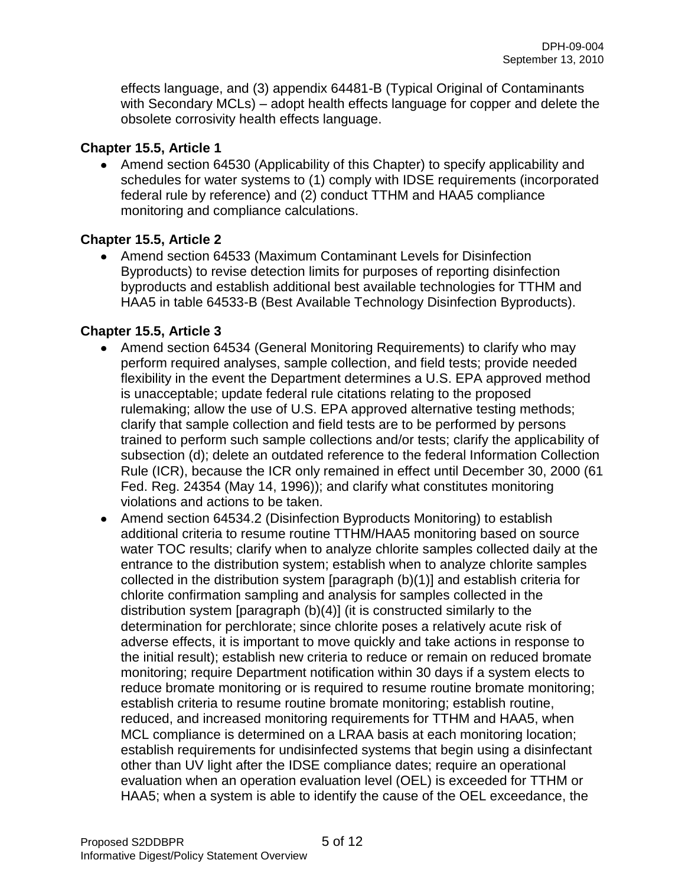effects language, and (3) appendix 64481-B (Typical Original of Contaminants with Secondary MCLs) – adopt health effects language for copper and delete the obsolete corrosivity health effects language.

#### **Chapter 15.5, Article 1**

• Amend section 64530 (Applicability of this Chapter) to specify applicability and schedules for water systems to (1) comply with IDSE requirements (incorporated federal rule by reference) and (2) conduct TTHM and HAA5 compliance monitoring and compliance calculations.

## **Chapter 15.5, Article 2**

Amend section 64533 (Maximum Contaminant Levels for Disinfection Byproducts) to revise detection limits for purposes of reporting disinfection byproducts and establish additional best available technologies for TTHM and HAA5 in table 64533-B (Best Available Technology Disinfection Byproducts).

## **Chapter 15.5, Article 3**

- Amend section 64534 (General Monitoring Requirements) to clarify who may perform required analyses, sample collection, and field tests; provide needed flexibility in the event the Department determines a U.S. EPA approved method is unacceptable; update federal rule citations relating to the proposed rulemaking; allow the use of U.S. EPA approved alternative testing methods; clarify that sample collection and field tests are to be performed by persons trained to perform such sample collections and/or tests; clarify the applicability of subsection (d); delete an outdated reference to the federal Information Collection Rule (ICR), because the ICR only remained in effect until December 30, 2000 (61 Fed. Reg. 24354 (May 14, 1996)); and clarify what constitutes monitoring violations and actions to be taken.
- Amend section 64534.2 (Disinfection Byproducts Monitoring) to establish additional criteria to resume routine TTHM/HAA5 monitoring based on source water TOC results; clarify when to analyze chlorite samples collected daily at the entrance to the distribution system; establish when to analyze chlorite samples collected in the distribution system [paragraph (b)(1)] and establish criteria for chlorite confirmation sampling and analysis for samples collected in the distribution system [paragraph (b)(4)] (it is constructed similarly to the determination for perchlorate; since chlorite poses a relatively acute risk of adverse effects, it is important to move quickly and take actions in response to the initial result); establish new criteria to reduce or remain on reduced bromate monitoring; require Department notification within 30 days if a system elects to reduce bromate monitoring or is required to resume routine bromate monitoring; establish criteria to resume routine bromate monitoring; establish routine, reduced, and increased monitoring requirements for TTHM and HAA5, when MCL compliance is determined on a LRAA basis at each monitoring location; establish requirements for undisinfected systems that begin using a disinfectant other than UV light after the IDSE compliance dates; require an operational evaluation when an operation evaluation level (OEL) is exceeded for TTHM or HAA5; when a system is able to identify the cause of the OEL exceedance, the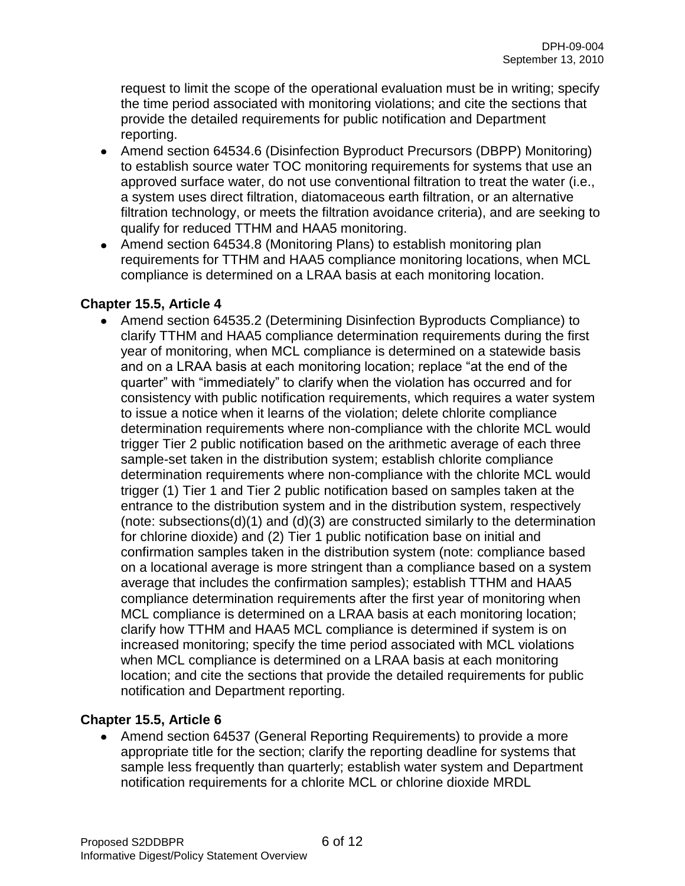request to limit the scope of the operational evaluation must be in writing; specify the time period associated with monitoring violations; and cite the sections that provide the detailed requirements for public notification and Department reporting.

- Amend section 64534.6 (Disinfection Byproduct Precursors (DBPP) Monitoring) to establish source water TOC monitoring requirements for systems that use an approved surface water, do not use conventional filtration to treat the water (i.e., a system uses direct filtration, diatomaceous earth filtration, or an alternative filtration technology, or meets the filtration avoidance criteria), and are seeking to qualify for reduced TTHM and HAA5 monitoring.
- Amend section 64534.8 (Monitoring Plans) to establish monitoring plan requirements for TTHM and HAA5 compliance monitoring locations, when MCL compliance is determined on a LRAA basis at each monitoring location.

#### **Chapter 15.5, Article 4**

Amend section 64535.2 (Determining Disinfection Byproducts Compliance) to clarify TTHM and HAA5 compliance determination requirements during the first year of monitoring, when MCL compliance is determined on a statewide basis and on a LRAA basis at each monitoring location; replace "at the end of the quarter" with "immediately" to clarify when the violation has occurred and for consistency with public notification requirements, which requires a water system to issue a notice when it learns of the violation; delete chlorite compliance determination requirements where non-compliance with the chlorite MCL would trigger Tier 2 public notification based on the arithmetic average of each three sample-set taken in the distribution system; establish chlorite compliance determination requirements where non-compliance with the chlorite MCL would trigger (1) Tier 1 and Tier 2 public notification based on samples taken at the entrance to the distribution system and in the distribution system, respectively (note: subsections(d)(1) and (d)(3) are constructed similarly to the determination for chlorine dioxide) and (2) Tier 1 public notification base on initial and confirmation samples taken in the distribution system (note: compliance based on a locational average is more stringent than a compliance based on a system average that includes the confirmation samples); establish TTHM and HAA5 compliance determination requirements after the first year of monitoring when MCL compliance is determined on a LRAA basis at each monitoring location; clarify how TTHM and HAA5 MCL compliance is determined if system is on increased monitoring; specify the time period associated with MCL violations when MCL compliance is determined on a LRAA basis at each monitoring location; and cite the sections that provide the detailed requirements for public notification and Department reporting.

## **Chapter 15.5, Article 6**

• Amend section 64537 (General Reporting Requirements) to provide a more appropriate title for the section; clarify the reporting deadline for systems that sample less frequently than quarterly; establish water system and Department notification requirements for a chlorite MCL or chlorine dioxide MRDL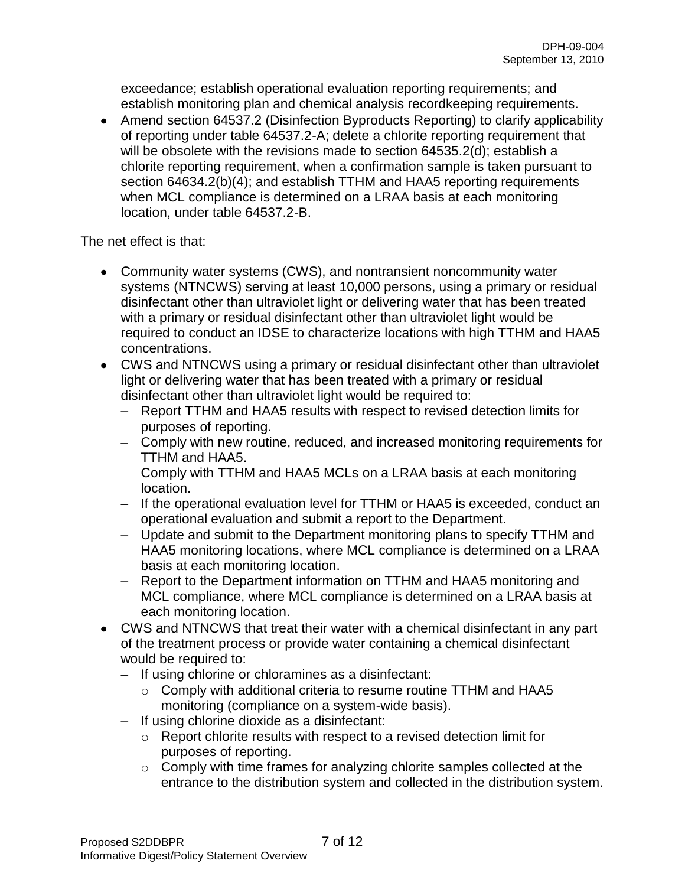exceedance; establish operational evaluation reporting requirements; and establish monitoring plan and chemical analysis recordkeeping requirements.

• Amend section 64537.2 (Disinfection Byproducts Reporting) to clarify applicability of reporting under table 64537.2-A; delete a chlorite reporting requirement that will be obsolete with the revisions made to section 64535.2(d); establish a chlorite reporting requirement, when a confirmation sample is taken pursuant to section 64634.2(b)(4); and establish TTHM and HAA5 reporting requirements when MCL compliance is determined on a LRAA basis at each monitoring location, under table 64537.2-B.

The net effect is that:

- Community water systems (CWS), and nontransient noncommunity water systems (NTNCWS) serving at least 10,000 persons, using a primary or residual disinfectant other than ultraviolet light or delivering water that has been treated with a primary or residual disinfectant other than ultraviolet light would be required to conduct an IDSE to characterize locations with high TTHM and HAA5 concentrations.
- CWS and NTNCWS using a primary or residual disinfectant other than ultraviolet light or delivering water that has been treated with a primary or residual disinfectant other than ultraviolet light would be required to:
	- Report TTHM and HAA5 results with respect to revised detection limits for purposes of reporting.
	- Comply with new routine, reduced, and increased monitoring requirements for TTHM and HAA5.
	- Comply with TTHM and HAA5 MCLs on a LRAA basis at each monitoring location.
	- If the operational evaluation level for TTHM or HAA5 is exceeded, conduct an operational evaluation and submit a report to the Department.
	- Update and submit to the Department monitoring plans to specify TTHM and HAA5 monitoring locations, where MCL compliance is determined on a LRAA basis at each monitoring location.
	- Report to the Department information on TTHM and HAA5 monitoring and MCL compliance, where MCL compliance is determined on a LRAA basis at each monitoring location.
- CWS and NTNCWS that treat their water with a chemical disinfectant in any part of the treatment process or provide water containing a chemical disinfectant would be required to:
	- If using chlorine or chloramines as a disinfectant:
		- o Comply with additional criteria to resume routine TTHM and HAA5 monitoring (compliance on a system-wide basis).
	- If using chlorine dioxide as a disinfectant:
		- o Report chlorite results with respect to a revised detection limit for purposes of reporting.
		- o Comply with time frames for analyzing chlorite samples collected at the entrance to the distribution system and collected in the distribution system.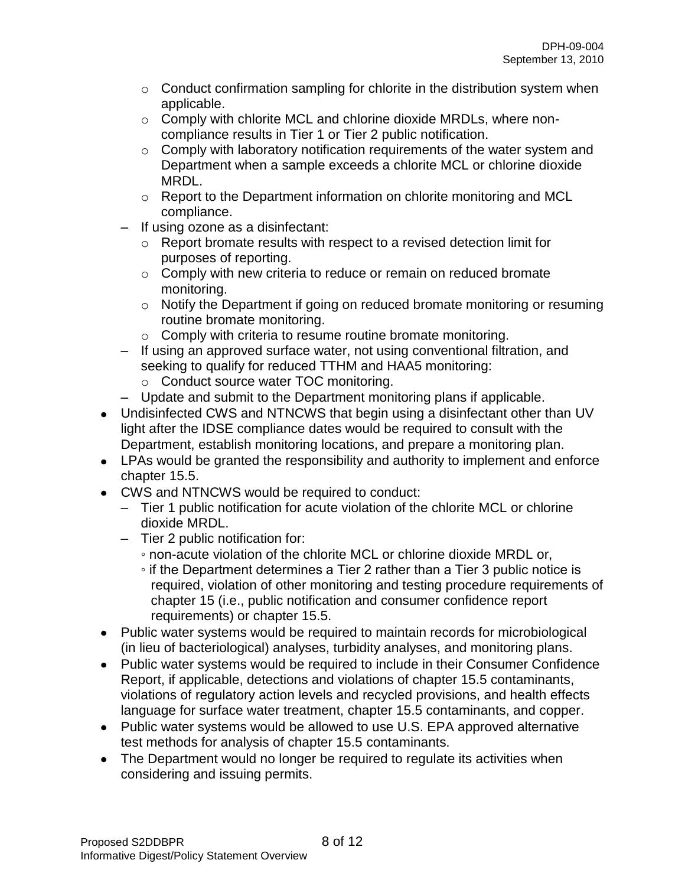- $\circ$  Conduct confirmation sampling for chlorite in the distribution system when applicable.
- o Comply with chlorite MCL and chlorine dioxide MRDLs, where noncompliance results in Tier 1 or Tier 2 public notification.
- $\circ$  Comply with laboratory notification requirements of the water system and Department when a sample exceeds a chlorite MCL or chlorine dioxide MRDL.
- o Report to the Department information on chlorite monitoring and MCL compliance.
- If using ozone as a disinfectant:
	- o Report bromate results with respect to a revised detection limit for purposes of reporting.
	- o Comply with new criteria to reduce or remain on reduced bromate monitoring.
	- o Notify the Department if going on reduced bromate monitoring or resuming routine bromate monitoring.
	- o Comply with criteria to resume routine bromate monitoring.
- If using an approved surface water, not using conventional filtration, and seeking to qualify for reduced TTHM and HAA5 monitoring:
	- o Conduct source water TOC monitoring.
- Update and submit to the Department monitoring plans if applicable.
- Undisinfected CWS and NTNCWS that begin using a disinfectant other than UV light after the IDSE compliance dates would be required to consult with the Department, establish monitoring locations, and prepare a monitoring plan.
- LPAs would be granted the responsibility and authority to implement and enforce chapter 15.5.
- CWS and NTNCWS would be required to conduct:
	- Tier 1 public notification for acute violation of the chlorite MCL or chlorine dioxide MRDL.
	- Tier 2 public notification for:
		- non-acute violation of the chlorite MCL or chlorine dioxide MRDL or,
		- if the Department determines a Tier 2 rather than a Tier 3 public notice is required, violation of other monitoring and testing procedure requirements of chapter 15 (i.e., public notification and consumer confidence report requirements) or chapter 15.5.
- Public water systems would be required to maintain records for microbiological (in lieu of bacteriological) analyses, turbidity analyses, and monitoring plans.
- Public water systems would be required to include in their Consumer Confidence Report, if applicable, detections and violations of chapter 15.5 contaminants, violations of regulatory action levels and recycled provisions, and health effects language for surface water treatment, chapter 15.5 contaminants, and copper.
- Public water systems would be allowed to use U.S. EPA approved alternative test methods for analysis of chapter 15.5 contaminants.
- The Department would no longer be required to regulate its activities when considering and issuing permits.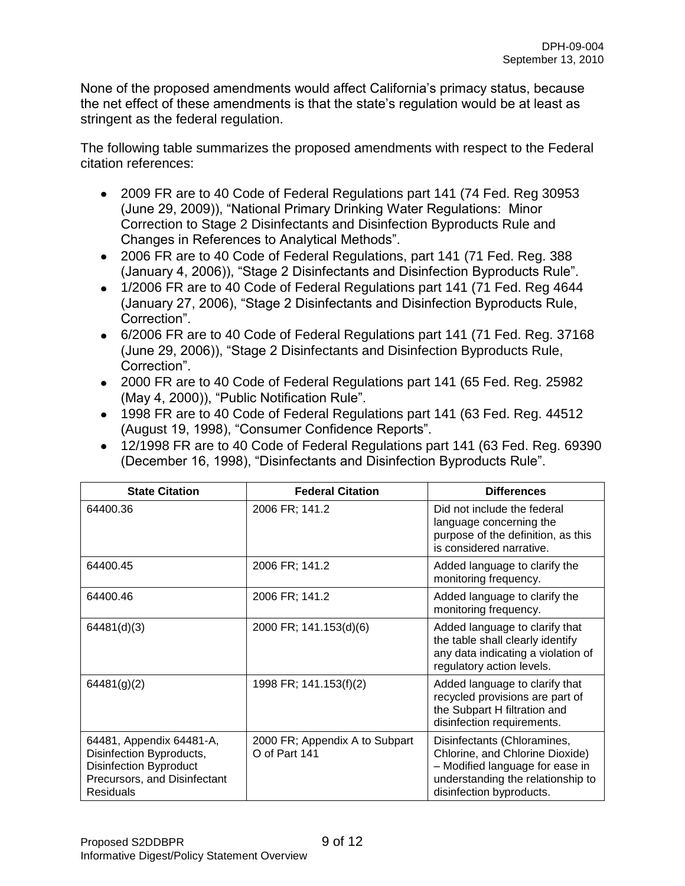None of the proposed amendments would affect California's primacy status, because the net effect of these amendments is that the state's regulation would be at least as stringent as the federal regulation.

The following table summarizes the proposed amendments with respect to the Federal citation references:

- 2009 FR are to 40 Code of Federal Regulations part 141 (74 Fed. Reg 30953 (June 29, 2009)), "National Primary Drinking Water Regulations: Minor Correction to Stage 2 Disinfectants and Disinfection Byproducts Rule and Changes in References to Analytical Methods".
- 2006 FR are to 40 Code of Federal Regulations, part 141 (71 Fed. Reg. 388 (January 4, 2006)), "Stage 2 Disinfectants and Disinfection Byproducts Rule".
- 1/2006 FR are to 40 Code of Federal Regulations part 141 (71 Fed. Reg 4644) (January 27, 2006), "Stage 2 Disinfectants and Disinfection Byproducts Rule, Correction".
- 6/2006 FR are to 40 Code of Federal Regulations part 141 (71 Fed. Reg. 37168 (June 29, 2006)), "Stage 2 Disinfectants and Disinfection Byproducts Rule, Correction".
- 2000 FR are to 40 Code of Federal Regulations part 141 (65 Fed. Reg. 25982 (May 4, 2000)), "Public Notification Rule".
- 1998 FR are to 40 Code of Federal Regulations part 141 (63 Fed. Reg. 44512 (August 19, 1998), "Consumer Confidence Reports".
- 12/1998 FR are to 40 Code of Federal Regulations part 141 (63 Fed. Reg. 69390 (December 16, 1998), "Disinfectants and Disinfection Byproducts Rule".

| <b>State Citation</b>                                                                                                                     | <b>Federal Citation</b>                         | <b>Differences</b>                                                                                                                                                 |
|-------------------------------------------------------------------------------------------------------------------------------------------|-------------------------------------------------|--------------------------------------------------------------------------------------------------------------------------------------------------------------------|
| 64400.36                                                                                                                                  | 2006 FR; 141.2                                  | Did not include the federal<br>language concerning the<br>purpose of the definition, as this<br>is considered narrative.                                           |
| 64400.45                                                                                                                                  | 2006 FR; 141.2                                  | Added language to clarify the<br>monitoring frequency.                                                                                                             |
| 64400.46                                                                                                                                  | 2006 FR; 141.2                                  | Added language to clarify the<br>monitoring frequency.                                                                                                             |
| 64481(d)(3)                                                                                                                               | 2000 FR; 141.153(d)(6)                          | Added language to clarify that<br>the table shall clearly identify<br>any data indicating a violation of<br>regulatory action levels.                              |
| 64481(g)(2)                                                                                                                               | 1998 FR; 141.153(f)(2)                          | Added language to clarify that<br>recycled provisions are part of<br>the Subpart H filtration and<br>disinfection requirements.                                    |
| 64481, Appendix 64481-A,<br>Disinfection Byproducts,<br><b>Disinfection Byproduct</b><br>Precursors, and Disinfectant<br><b>Residuals</b> | 2000 FR; Appendix A to Subpart<br>O of Part 141 | Disinfectants (Chloramines,<br>Chlorine, and Chlorine Dioxide)<br>- Modified language for ease in<br>understanding the relationship to<br>disinfection byproducts. |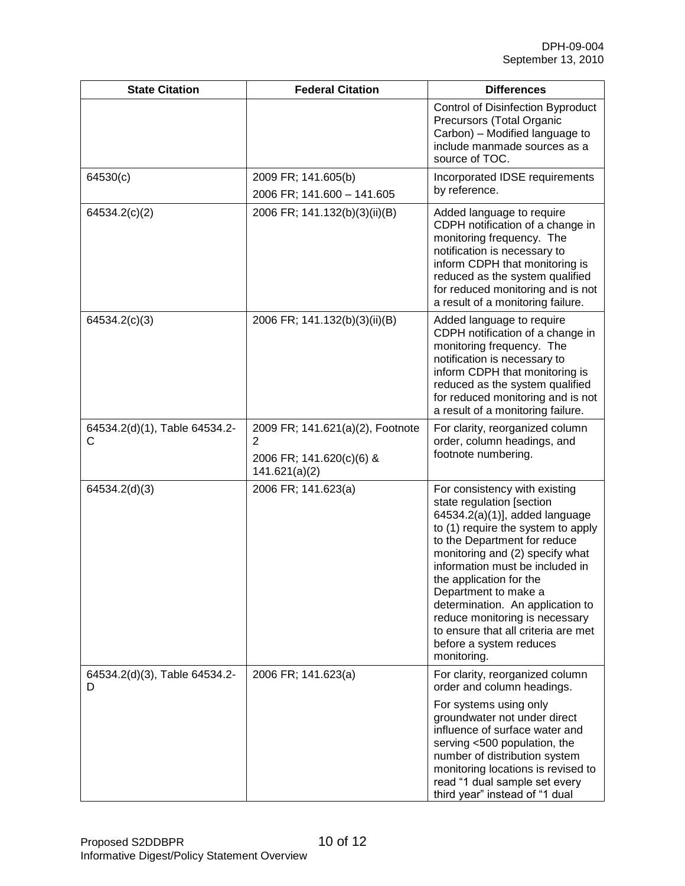| <b>State Citation</b>              | <b>Federal Citation</b>                                                            | <b>Differences</b>                                                                                                                                                                                                                                                                                                                                                                                                                                 |
|------------------------------------|------------------------------------------------------------------------------------|----------------------------------------------------------------------------------------------------------------------------------------------------------------------------------------------------------------------------------------------------------------------------------------------------------------------------------------------------------------------------------------------------------------------------------------------------|
|                                    |                                                                                    | <b>Control of Disinfection Byproduct</b><br>Precursors (Total Organic<br>Carbon) - Modified language to<br>include manmade sources as a<br>source of TOC.                                                                                                                                                                                                                                                                                          |
| 64530(c)                           | 2009 FR; 141.605(b)<br>2006 FR; 141.600 - 141.605                                  | Incorporated IDSE requirements<br>by reference.                                                                                                                                                                                                                                                                                                                                                                                                    |
| 64534.2(c)(2)                      | 2006 FR; 141.132(b)(3)(ii)(B)                                                      | Added language to require<br>CDPH notification of a change in<br>monitoring frequency. The<br>notification is necessary to<br>inform CDPH that monitoring is<br>reduced as the system qualified<br>for reduced monitoring and is not<br>a result of a monitoring failure.                                                                                                                                                                          |
| 64534.2(c)(3)                      | 2006 FR; 141.132(b)(3)(ii)(B)                                                      | Added language to require<br>CDPH notification of a change in<br>monitoring frequency. The<br>notification is necessary to<br>inform CDPH that monitoring is<br>reduced as the system qualified<br>for reduced monitoring and is not<br>a result of a monitoring failure.                                                                                                                                                                          |
| 64534.2(d)(1), Table 64534.2-<br>C | 2009 FR; 141.621(a)(2), Footnote<br>2<br>2006 FR; 141.620(c)(6) &<br>141.621(a)(2) | For clarity, reorganized column<br>order, column headings, and<br>footnote numbering.                                                                                                                                                                                                                                                                                                                                                              |
| 64534.2(d)(3)                      | 2006 FR; 141.623(a)                                                                | For consistency with existing<br>state regulation [section<br>64534.2(a)(1)], added language<br>to (1) require the system to apply<br>to the Department for reduce<br>monitoring and (2) specify what<br>information must be included in<br>the application for the<br>Department to make a<br>determination. An application to<br>reduce monitoring is necessary<br>to ensure that all criteria are met<br>before a system reduces<br>monitoring. |
| 64534.2(d)(3), Table 64534.2-<br>D | 2006 FR; 141.623(a)                                                                | For clarity, reorganized column<br>order and column headings.<br>For systems using only<br>groundwater not under direct<br>influence of surface water and<br>serving <500 population, the<br>number of distribution system<br>monitoring locations is revised to<br>read "1 dual sample set every<br>third year" instead of "1 dual                                                                                                                |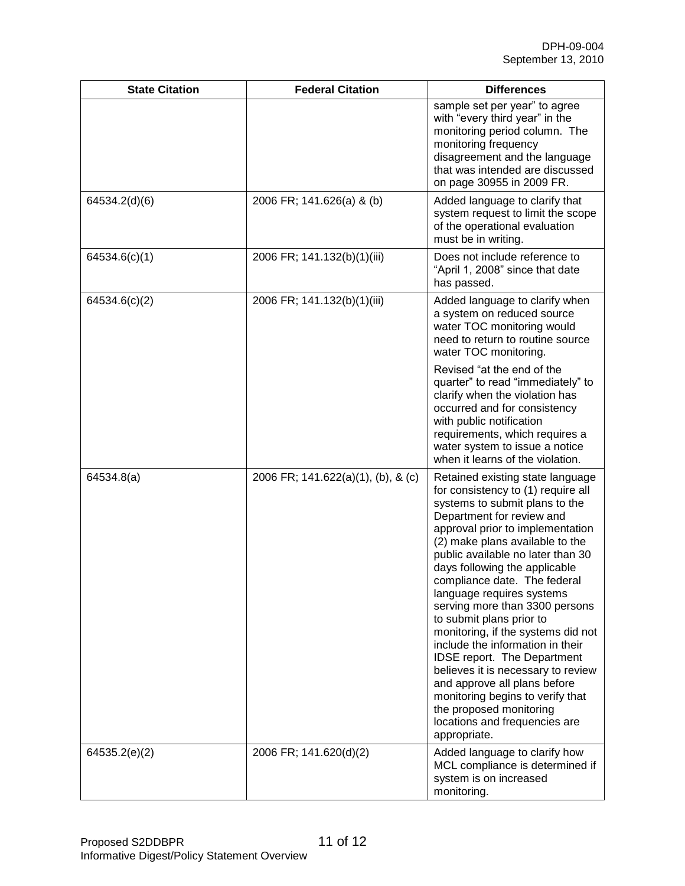| <b>State Citation</b> | <b>Federal Citation</b>            | <b>Differences</b>                                                                                                                                                                                                                                                                                                                                                                                                                                                                                                                                                                                                                                                                                                  |
|-----------------------|------------------------------------|---------------------------------------------------------------------------------------------------------------------------------------------------------------------------------------------------------------------------------------------------------------------------------------------------------------------------------------------------------------------------------------------------------------------------------------------------------------------------------------------------------------------------------------------------------------------------------------------------------------------------------------------------------------------------------------------------------------------|
|                       |                                    | sample set per year" to agree<br>with "every third year" in the<br>monitoring period column. The<br>monitoring frequency<br>disagreement and the language<br>that was intended are discussed<br>on page 30955 in 2009 FR.                                                                                                                                                                                                                                                                                                                                                                                                                                                                                           |
| 64534.2(d)(6)         | 2006 FR; 141.626(a) & (b)          | Added language to clarify that<br>system request to limit the scope<br>of the operational evaluation<br>must be in writing.                                                                                                                                                                                                                                                                                                                                                                                                                                                                                                                                                                                         |
| 64534.6(c)(1)         | 2006 FR; 141.132(b)(1)(iii)        | Does not include reference to<br>"April 1, 2008" since that date<br>has passed.                                                                                                                                                                                                                                                                                                                                                                                                                                                                                                                                                                                                                                     |
| 64534.6(c)(2)         | 2006 FR; 141.132(b)(1)(iii)        | Added language to clarify when<br>a system on reduced source<br>water TOC monitoring would<br>need to return to routine source<br>water TOC monitoring.                                                                                                                                                                                                                                                                                                                                                                                                                                                                                                                                                             |
|                       |                                    | Revised "at the end of the<br>quarter" to read "immediately" to<br>clarify when the violation has<br>occurred and for consistency<br>with public notification<br>requirements, which requires a<br>water system to issue a notice<br>when it learns of the violation.                                                                                                                                                                                                                                                                                                                                                                                                                                               |
| 64534.8(a)            | 2006 FR; 141.622(a)(1), (b), & (c) | Retained existing state language<br>for consistency to (1) require all<br>systems to submit plans to the<br>Department for review and<br>approval prior to implementation<br>(2) make plans available to the<br>public available no later than 30<br>days following the applicable<br>compliance date. The federal<br>language requires systems<br>serving more than 3300 persons<br>to submit plans prior to<br>monitoring, if the systems did not<br>include the information in their<br><b>IDSE report.</b> The Department<br>believes it is necessary to review<br>and approve all plans before<br>monitoring begins to verify that<br>the proposed monitoring<br>locations and frequencies are<br>appropriate. |
| 64535.2(e)(2)         | 2006 FR; 141.620(d)(2)             | Added language to clarify how<br>MCL compliance is determined if<br>system is on increased<br>monitoring.                                                                                                                                                                                                                                                                                                                                                                                                                                                                                                                                                                                                           |